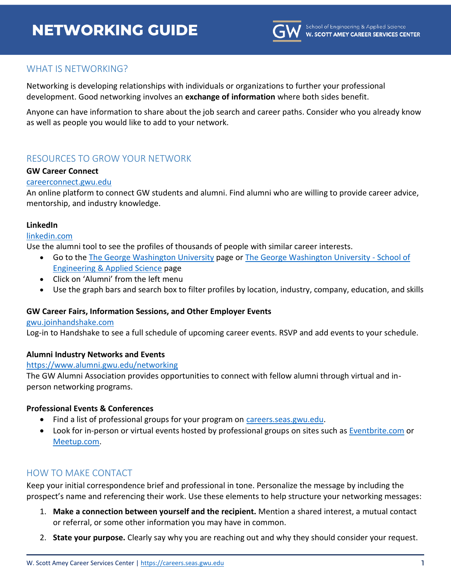# **NETWORKING GUIDE**



# WHAT IS NETWORKING?

Networking is developing relationships with individuals or organizations to further your professional development. Good networking involves an **exchange of information** where both sides benefit.

Anyone can have information to share about the job search and career paths. Consider who you already know as well as people you would like to add to your network.

# RESOURCES TO GROW YOUR NETWORK

#### **GW Career Connect**

#### [careerconnect.gwu.edu](https://careerconnect.gwu.edu/)

An online platform to connect GW students and alumni. Find alumni who are willing to provide career advice, mentorship, and industry knowledge.

#### **LinkedIn**

#### [linkedin.com](https://www.linkedin.com/)

Use the alumni tool to see the profiles of thousands of people with similar career interests.

- Go to th[e The George Washington University](https://www.linkedin.com/school/george-washington-university/people/) page or [The George Washington University -](https://www.linkedin.com/school/the-george-washington-university---school-of-engineering-&-applied-science/people/) School of [Engineering & Applied Science](https://www.linkedin.com/school/the-george-washington-university---school-of-engineering-&-applied-science/people/) page
- Click on 'Alumni' from the left menu
- Use the graph bars and search box to filter profiles by location, industry, company, education, and skills

#### **GW Career Fairs, Information Sessions, and Other Employer Events**

#### [gwu.joinhandshake.com](http://gwu.joinhandshake.com/)

Log-in to Handshake to see a full schedule of upcoming career events. RSVP and add events to your schedule.

#### **Alumni Industry Networks and Events**

#### <https://www.alumni.gwu.edu/networking>

The GW Alumni Association provides opportunities to connect with fellow alumni through virtual and inperson networking programs.

#### **Professional Events & Conferences**

- Find a list of professional groups for your program on [careers.seas.gwu.edu.](http://careers.seas.gwu.edu/)
- Look for in-person or virtual events hosted by professional groups on sites such as [Eventbrite.com](https://www.eventbrite.com/) or [Meetup.com.](https://www.meetup.com/)

# HOW TO MAKE CONTACT

Keep your initial correspondence brief and professional in tone. Personalize the message by including the prospect's name and referencing their work. Use these elements to help structure your networking messages:

- 1. **Make a connection between yourself and the recipient.** Mention a shared interest, a mutual contact or referral, or some other information you may have in common.
- 2. **State your purpose.** Clearly say why you are reaching out and why they should consider your request.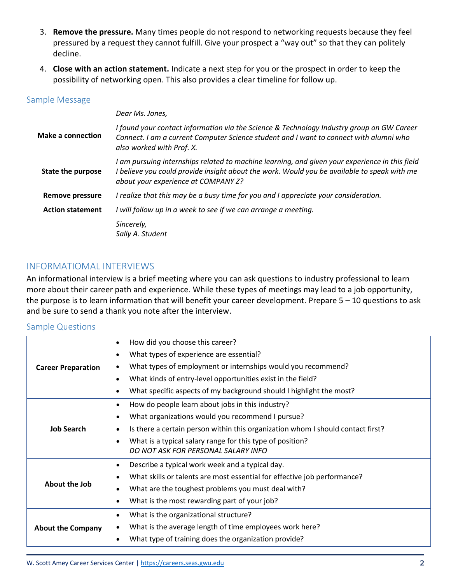- 3. **Remove the pressure.** Many times people do not respond to networking requests because they feel pressured by a request they cannot fulfill. Give your prospect a "way out" so that they can politely decline.
- 4. **Close with an action statement.** Indicate a next step for you or the prospect in order to keep the possibility of networking open. This also provides a clear timeline for follow up.

## Sample Message

|                          | Dear Ms. Jones,                                                                                                                                                                                                                      |
|--------------------------|--------------------------------------------------------------------------------------------------------------------------------------------------------------------------------------------------------------------------------------|
| Make a connection        | I found your contact information via the Science & Technology Industry group on GW Career<br>Connect. I am a current Computer Science student and I want to connect with alumni who<br>also worked with Prof. X.                     |
| <b>State the purpose</b> | I am pursuing internships related to machine learning, and given your experience in this field<br>I believe you could provide insight about the work. Would you be available to speak with me<br>about your experience at COMPANY Z? |
| <b>Remove pressure</b>   | I realize that this may be a busy time for you and I appreciate your consideration.                                                                                                                                                  |
| <b>Action statement</b>  | I will follow up in a week to see if we can arrange a meeting.                                                                                                                                                                       |
|                          | Sincerely,<br>Sally A. Student                                                                                                                                                                                                       |

# INFORMATIOMAL INTERVIEWS

An informational interview is a brief meeting where you can ask questions to industry professional to learn more about their career path and experience. While these types of meetings may lead to a job opportunity, the purpose is to learn information that will benefit your career development. Prepare 5 – 10 questions to ask and be sure to send a thank you note after the interview.

# Sample Questions

| <b>Career Preparation</b> | How did you choose this career?                                                 |
|---------------------------|---------------------------------------------------------------------------------|
|                           | What types of experience are essential?                                         |
|                           | What types of employment or internships would you recommend?                    |
|                           | What kinds of entry-level opportunities exist in the field?                     |
|                           | What specific aspects of my background should I highlight the most?             |
| <b>Job Search</b>         | How do people learn about jobs in this industry?                                |
|                           | What organizations would you recommend I pursue?                                |
|                           | Is there a certain person within this organization whom I should contact first? |
|                           | What is a typical salary range for this type of position?                       |
|                           | DO NOT ASK FOR PERSONAL SALARY INFO                                             |
| About the Job             | Describe a typical work week and a typical day.                                 |
|                           | What skills or talents are most essential for effective job performance?        |
|                           | What are the toughest problems you must deal with?                              |
|                           | What is the most rewarding part of your job?                                    |
| <b>About the Company</b>  | What is the organizational structure?                                           |
|                           | What is the average length of time employees work here?                         |
|                           | What type of training does the organization provide?                            |